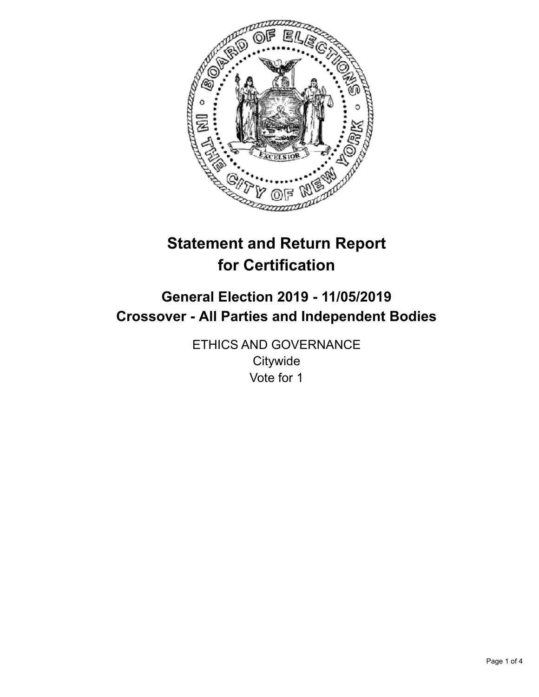

# **Statement and Return Report for Certification**

## **General Election 2019 - 11/05/2019 Crossover - All Parties and Independent Bodies**

ETHICS AND GOVERNANCE **Citywide** Vote for 1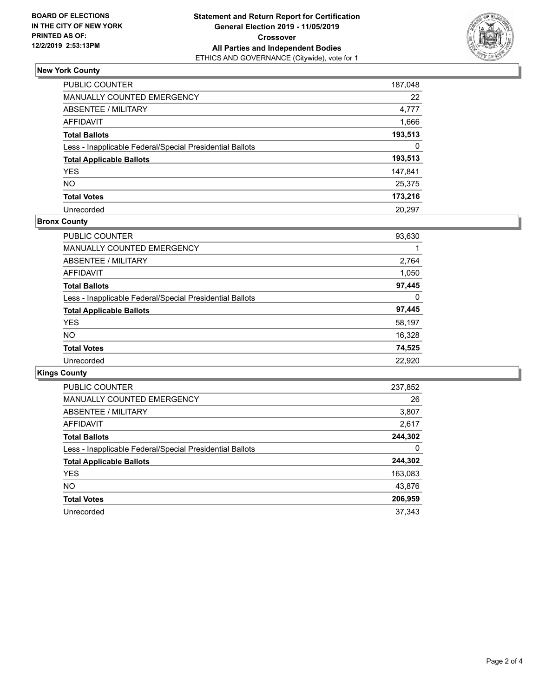

## **New York County**

| PUBLIC COUNTER                                           | 187,048 |
|----------------------------------------------------------|---------|
| <b>MANUALLY COUNTED EMERGENCY</b>                        | 22      |
| ABSENTEE / MILITARY                                      | 4,777   |
| <b>AFFIDAVIT</b>                                         | 1,666   |
| <b>Total Ballots</b>                                     | 193,513 |
| Less - Inapplicable Federal/Special Presidential Ballots | 0       |
| <b>Total Applicable Ballots</b>                          | 193,513 |
| <b>YES</b>                                               | 147,841 |
| <b>NO</b>                                                | 25,375  |
| <b>Total Votes</b>                                       | 173,216 |
| Unrecorded                                               | 20.297  |

### **Bronx County**

| <b>PUBLIC COUNTER</b>                                    | 93,630 |
|----------------------------------------------------------|--------|
| <b>MANUALLY COUNTED EMERGENCY</b>                        |        |
| ABSENTEE / MILITARY                                      | 2,764  |
| <b>AFFIDAVIT</b>                                         | 1,050  |
| <b>Total Ballots</b>                                     | 97,445 |
| Less - Inapplicable Federal/Special Presidential Ballots | 0      |
| <b>Total Applicable Ballots</b>                          | 97,445 |
| <b>YES</b>                                               | 58,197 |
| <b>NO</b>                                                | 16,328 |
| <b>Total Votes</b>                                       | 74,525 |
| Unrecorded                                               | 22.920 |

## **Kings County**

| <b>PUBLIC COUNTER</b>                                    | 237,852 |
|----------------------------------------------------------|---------|
| <b>MANUALLY COUNTED EMERGENCY</b>                        | 26      |
| ABSENTEE / MILITARY                                      | 3,807   |
| AFFIDAVIT                                                | 2,617   |
| <b>Total Ballots</b>                                     | 244,302 |
| Less - Inapplicable Federal/Special Presidential Ballots | 0       |
| <b>Total Applicable Ballots</b>                          | 244,302 |
| <b>YES</b>                                               | 163,083 |
| NO.                                                      | 43,876  |
| <b>Total Votes</b>                                       | 206,959 |
| Unrecorded                                               | 37.343  |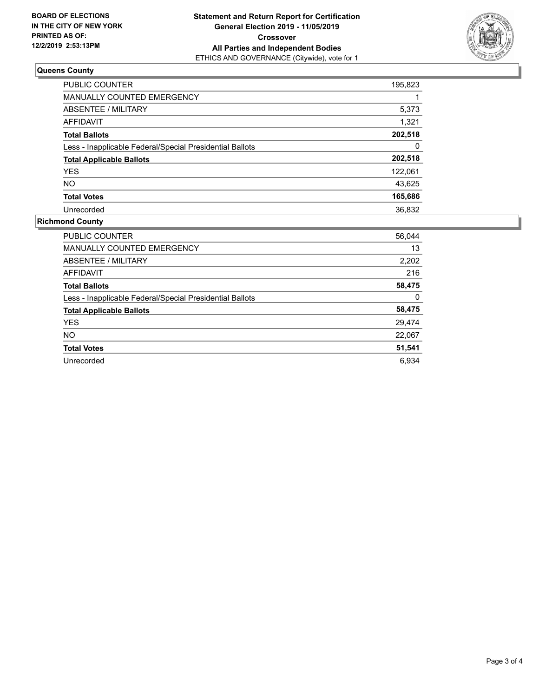

## **Queens County**

| <b>PUBLIC COUNTER</b>                                    | 195,823 |
|----------------------------------------------------------|---------|
| MANUALLY COUNTED EMERGENCY                               |         |
| ABSENTEE / MILITARY                                      | 5,373   |
| AFFIDAVIT                                                | 1,321   |
| <b>Total Ballots</b>                                     | 202,518 |
| Less - Inapplicable Federal/Special Presidential Ballots | 0       |
| <b>Total Applicable Ballots</b>                          | 202,518 |
| <b>YES</b>                                               | 122,061 |
| NO.                                                      | 43,625  |
| <b>Total Votes</b>                                       | 165,686 |
| Unrecorded                                               | 36.832  |

#### **Richmond County**

| <b>PUBLIC COUNTER</b>                                    | 56,044 |
|----------------------------------------------------------|--------|
| <b>MANUALLY COUNTED EMERGENCY</b>                        | 13     |
| ABSENTEE / MILITARY                                      | 2,202  |
| <b>AFFIDAVIT</b>                                         | 216    |
| <b>Total Ballots</b>                                     | 58,475 |
| Less - Inapplicable Federal/Special Presidential Ballots | 0      |
| <b>Total Applicable Ballots</b>                          | 58,475 |
| <b>YES</b>                                               | 29,474 |
| NO.                                                      | 22,067 |
| <b>Total Votes</b>                                       | 51,541 |
| Unrecorded                                               | 6.934  |